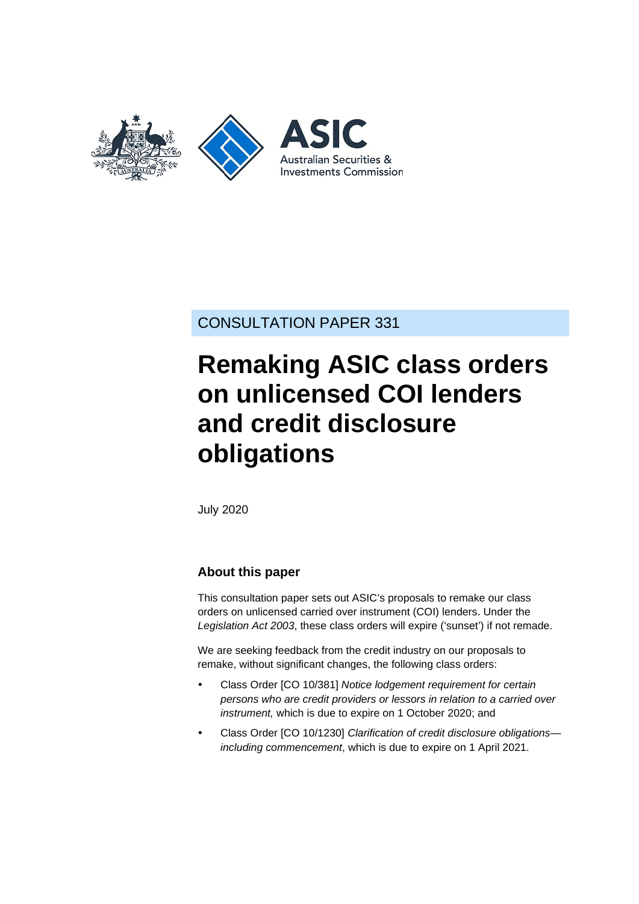

CONSULTATION PAPER 331

# **Remaking ASIC class orders on unlicensed COI lenders and credit disclosure obligations**

July 2020

## **About this paper**

This consultation paper sets out ASIC's proposals to remake our class orders on unlicensed carried over instrument (COI) lenders. Under the *Legislation Act 2003*, these class orders will expire ('sunset') if not remade.

We are seeking feedback from the credit industry on our proposals to remake, without significant changes, the following class orders:

- Class Order [CO 10/381] *Notice lodgement requirement for certain persons who are credit providers or lessors in relation to a carried over instrument,* which is due to expire on 1 October 2020; and
- Class Order [CO 10/1230] *Clarification of credit disclosure obligations including commencement*, which is due to expire on 1 April 2021.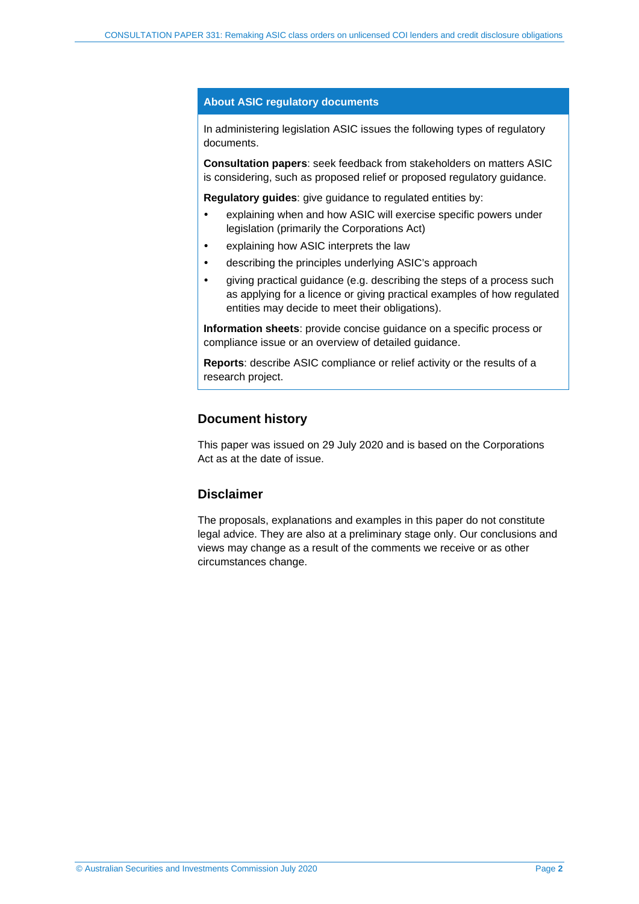#### **About ASIC regulatory documents**

In administering legislation ASIC issues the following types of regulatory documents.

**Consultation papers**: seek feedback from stakeholders on matters ASIC is considering, such as proposed relief or proposed regulatory guidance.

**Regulatory guides**: give guidance to regulated entities by:

- explaining when and how ASIC will exercise specific powers under legislation (primarily the Corporations Act)
- explaining how ASIC interprets the law
- describing the principles underlying ASIC's approach
- giving practical guidance (e.g. describing the steps of a process such as applying for a licence or giving practical examples of how regulated entities may decide to meet their obligations).

**Information sheets**: provide concise guidance on a specific process or compliance issue or an overview of detailed guidance.

**Reports**: describe ASIC compliance or relief activity or the results of a research project.

### **Document history**

This paper was issued on 29 July 2020 and is based on the Corporations Act as at the date of issue.

### **Disclaimer**

The proposals, explanations and examples in this paper do not constitute legal advice. They are also at a preliminary stage only. Our conclusions and views may change as a result of the comments we receive or as other circumstances change.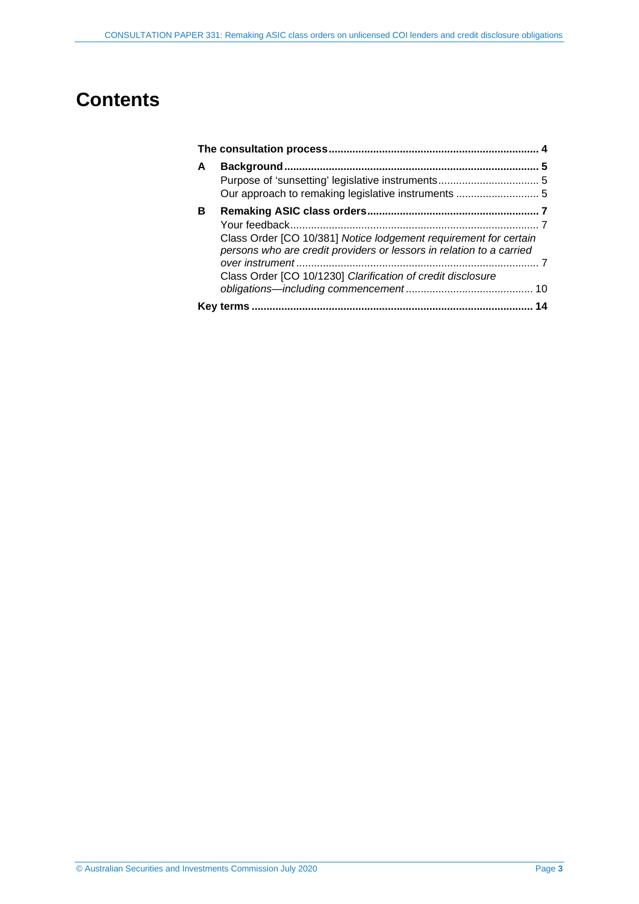## **Contents**

| A |                                                                                                                                          |  |  |
|---|------------------------------------------------------------------------------------------------------------------------------------------|--|--|
|   |                                                                                                                                          |  |  |
|   |                                                                                                                                          |  |  |
| в |                                                                                                                                          |  |  |
|   |                                                                                                                                          |  |  |
|   | Class Order [CO 10/381] Notice lodgement requirement for certain<br>persons who are credit providers or lessors in relation to a carried |  |  |
|   |                                                                                                                                          |  |  |
|   | Class Order [CO 10/1230] Clarification of credit disclosure                                                                              |  |  |
|   |                                                                                                                                          |  |  |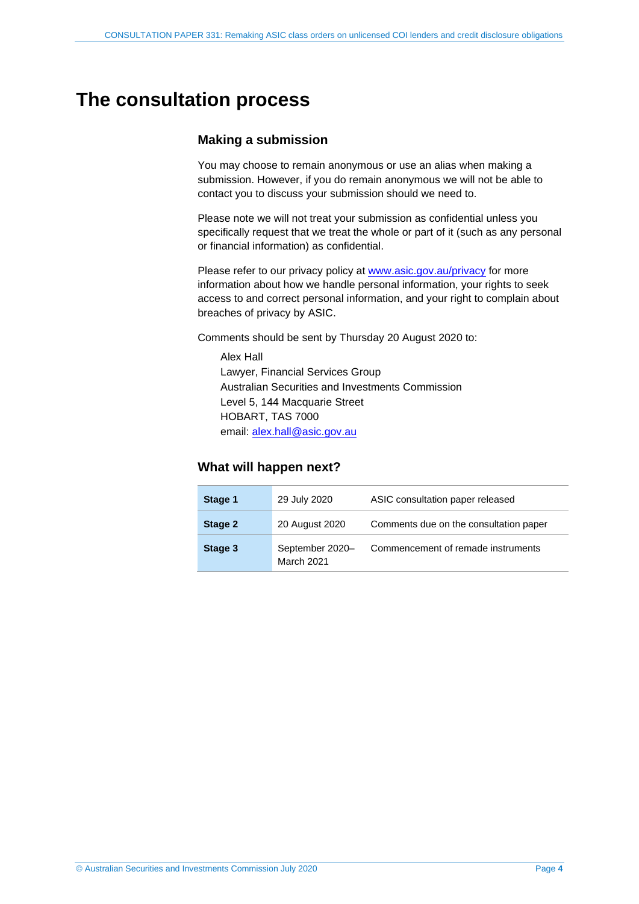## <span id="page-3-0"></span>**The consultation process**

## **Making a submission**

You may choose to remain anonymous or use an alias when making a submission. However, if you do remain anonymous we will not be able to contact you to discuss your submission should we need to.

Please note we will not treat your submission as confidential unless you specifically request that we treat the whole or part of it (such as any personal or financial information) as confidential.

Please refer to our privacy policy at [www.asic.gov.au/privacy](http://www.asic.gov.au/privacy) for more information about how we handle personal information, your rights to seek access to and correct personal information, and your right to complain about breaches of privacy by ASIC.

Comments should be sent by Thursday 20 August 2020 to:

Alex Hall Lawyer, Financial Services Group Australian Securities and Investments Commission Level 5, 144 Macquarie Street HOBART, TAS 7000 email: [alex.hall@asic.gov.au](mailto:alex.hall@asic.gov.au)

### **What will happen next?**

| Stage 1 | 29 July 2020                         | ASIC consultation paper released       |
|---------|--------------------------------------|----------------------------------------|
| Stage 2 | 20 August 2020                       | Comments due on the consultation paper |
| Stage 3 | September 2020-<br><b>March 2021</b> | Commencement of remade instruments     |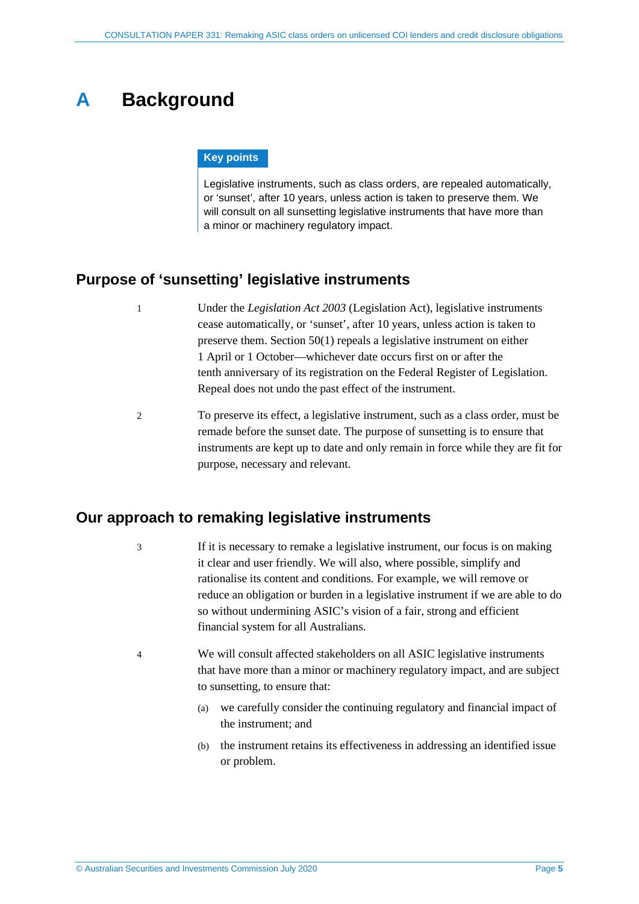## <span id="page-4-0"></span>**A Background**

#### **Key points**

Legislative instruments, such as class orders, are repealed automatically, or 'sunset', after 10 years, unless action is taken to preserve them. We will consult on all sunsetting legislative instruments that have more than a minor or machinery regulatory impact.

## <span id="page-4-1"></span>**Purpose of 'sunsetting' legislative instruments**

- 1 Under the *Legislation Act 2003* (Legislation Act), legislative instruments cease automatically, or 'sunset', after 10 years, unless action is taken to preserve them. Section 50(1) repeals a legislative instrument on either 1 April or 1 October—whichever date occurs first on or after the tenth anniversary of its registration on the Federal Register of Legislation. Repeal does not undo the past effect of the instrument.
- 2 To preserve its effect, a legislative instrument, such as a class order, must be remade before the sunset date. The purpose of sunsetting is to ensure that instruments are kept up to date and only remain in force while they are fit for purpose, necessary and relevant.

## <span id="page-4-2"></span>**Our approach to remaking legislative instruments**

3 If it is necessary to remake a legislative instrument, our focus is on making it clear and user friendly. We will also, where possible, simplify and rationalise its content and conditions. For example, we will remove or reduce an obligation or burden in a legislative instrument if we are able to do so without undermining ASIC's vision of a fair, strong and efficient financial system for all Australians.

- 4 We will consult affected stakeholders on all ASIC legislative instruments that have more than a minor or machinery regulatory impact, and are subject to sunsetting, to ensure that:
	- (a) we carefully consider the continuing regulatory and financial impact of the instrument; and
	- (b) the instrument retains its effectiveness in addressing an identified issue or problem.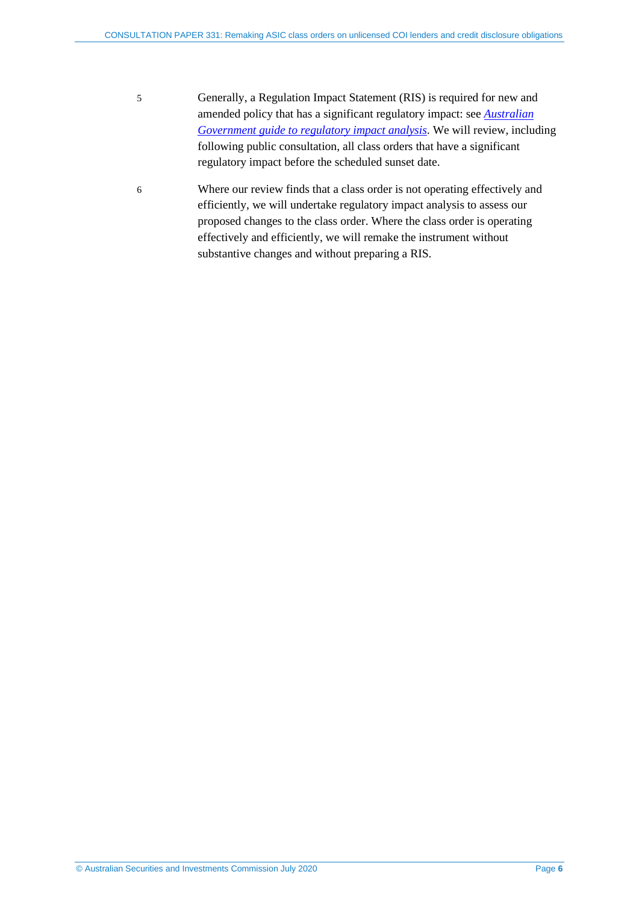- 5 Generally, a Regulation Impact Statement (RIS) is required for new and amended policy that has a significant regulatory impact: see *[Australian](https://www.pmc.gov.au/resource-centre/regulation/australian-government-guide-regulatory-impact-analysis)  [Government guide to regulatory impact analysis](https://www.pmc.gov.au/resource-centre/regulation/australian-government-guide-regulatory-impact-analysis)*. We will review, including following public consultation, all class orders that have a significant regulatory impact before the scheduled sunset date.
- 6 Where our review finds that a class order is not operating effectively and efficiently, we will undertake regulatory impact analysis to assess our proposed changes to the class order. Where the class order is operating effectively and efficiently, we will remake the instrument without substantive changes and without preparing a RIS.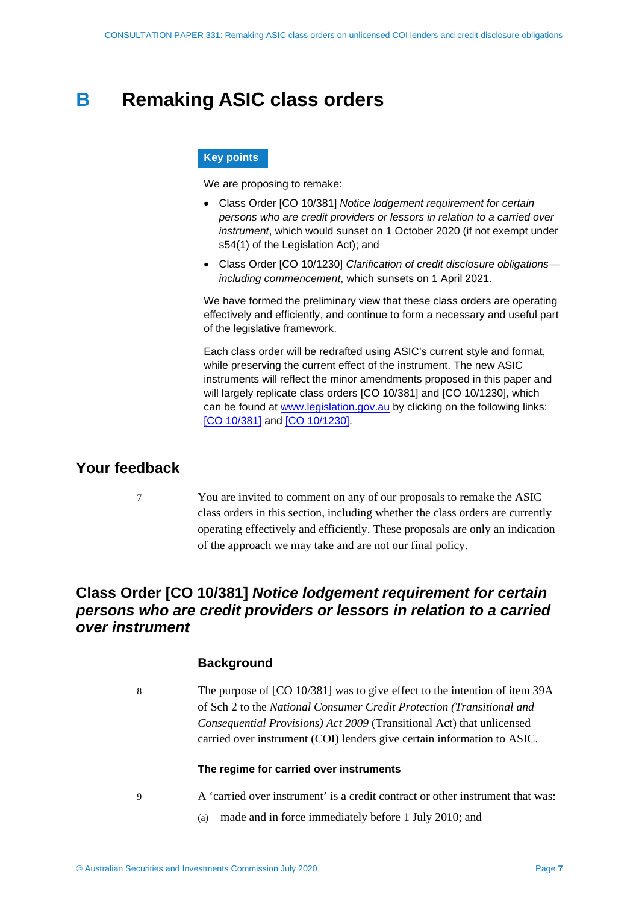## <span id="page-6-0"></span>**B Remaking ASIC class orders**

#### **Key points**

We are proposing to remake:

- Class Order [CO 10/381] *Notice lodgement requirement for certain persons who are credit providers or lessors in relation to a carried over instrument*, which would sunset on 1 October 2020 (if not exempt under s54(1) of the Legislation Act); and
- Class Order [CO 10/1230] *Clarification of credit disclosure obligations including commencement*, which sunsets on 1 April 2021.

We have formed the preliminary view that these class orders are operating effectively and efficiently, and continue to form a necessary and useful part of the legislative framework.

Each class order will be redrafted using ASIC's current style and format, while preserving the current effect of the instrument. The new ASIC instruments will reflect the minor amendments proposed in this paper and will largely replicate class orders [CO 10/381] and [CO 10/1230], which can be found at [www.legislation.gov.au](http://www.legislation.gov.au/) by clicking on the following links: [CO [10/381\]](https://www.legislation.gov.au/Details/F2019C00078) and [\[CO 10/1230\].](https://www.legislation.gov.au/Details/F2011C00309)

## <span id="page-6-1"></span>**Your feedback**

7 You are invited to comment on any of our proposals to remake the ASIC class orders in this section, including whether the class orders are currently operating effectively and efficiently. These proposals are only an indication of the approach we may take and are not our final policy.

## <span id="page-6-2"></span>**Class Order [CO 10/381]** *Notice lodgement requirement for certain persons who are credit providers or lessors in relation to a carried over instrument*

## **Background**

8 The purpose of [CO 10/381] was to give effect to the intention of item 39A of Sch 2 to the *National Consumer Credit Protection (Transitional and Consequential Provisions) Act 2009* (Transitional Act) that unlicensed carried over instrument (COI) lenders give certain information to ASIC.

#### **The regime for carried over instruments**

- <span id="page-6-3"></span>
- 9 A 'carried over instrument' is a credit contract or other instrument that was:
	- (a) made and in force immediately before 1 July 2010; and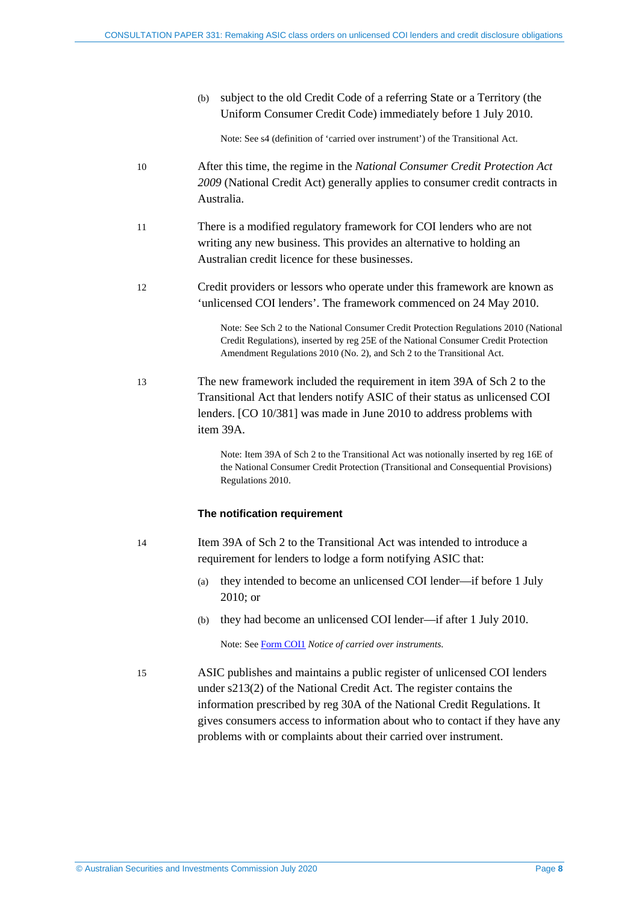(b) subject to the old Credit Code of a referring State or a Territory (the Uniform Consumer Credit Code) immediately before 1 July 2010.

Note: See s4 (definition of 'carried over instrument') of the Transitional Act.

- 10 After this time, the regime in the *National Consumer Credit Protection Act 2009* (National Credit Act) generally applies to consumer credit contracts in Australia.
- 11 There is a modified regulatory framework for COI lenders who are not writing any new business. This provides an alternative to holding an Australian credit licence for these businesses.
- 12 Credit providers or lessors who operate under this framework are known as 'unlicensed COI lenders'. The framework commenced on 24 May 2010.

Note: See Sch 2 to the National Consumer Credit Protection Regulations 2010 (National Credit Regulations), inserted by reg 25E of the National Consumer Credit Protection Amendment Regulations 2010 (No. 2), and Sch 2 to the Transitional Act.

13 The new framework included the requirement in item 39A of Sch 2 to the Transitional Act that lenders notify ASIC of their status as unlicensed COI lenders. [CO 10/381] was made in June 2010 to address problems with item 39A.

> Note: Item 39A of Sch 2 to the Transitional Act was notionally inserted by reg 16E of the National Consumer Credit Protection (Transitional and Consequential Provisions) Regulations 2010.

#### **The notification requirement**

- 14 Item 39A of Sch 2 to the Transitional Act was intended to introduce a requirement for lenders to lodge a form notifying ASIC that:
	- (a) they intended to become an unlicensed COI lender—if before 1 July 2010; or
	- (b) they had become an unlicensed COI lender—if after 1 July 2010.

Note: See [Form COI1](https://asic.gov.au/regulatory-resources/forms/forms-folder/coi1-notice-of-carried-over-instruments/) *Notice of carried over instruments*.

15 ASIC publishes and maintains a public register of unlicensed COI lenders under s213(2) of the National Credit Act. The register contains the information prescribed by reg 30A of the National Credit Regulations. It gives consumers access to information about who to contact if they have any problems with or complaints about their carried over instrument.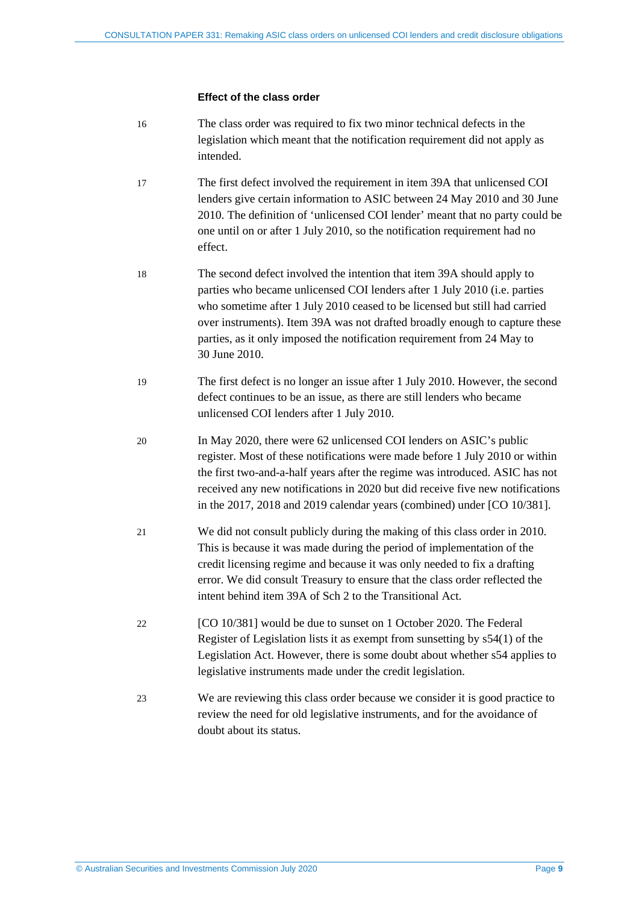#### **Effect of the class order**

- 16 The class order was required to fix two minor technical defects in the legislation which meant that the notification requirement did not apply as intended.
- 17 The first defect involved the requirement in item 39A that unlicensed COI lenders give certain information to ASIC between 24 May 2010 and 30 June 2010. The definition of 'unlicensed COI lender' meant that no party could be one until on or after 1 July 2010, so the notification requirement had no effect.
- 18 The second defect involved the intention that item 39A should apply to parties who became unlicensed COI lenders after 1 July 2010 (i.e. parties who sometime after 1 July 2010 ceased to be licensed but still had carried over instruments). Item 39A was not drafted broadly enough to capture these parties, as it only imposed the notification requirement from 24 May to 30 June 2010.
- 19 The first defect is no longer an issue after 1 July 2010. However, the second defect continues to be an issue, as there are still lenders who became unlicensed COI lenders after 1 July 2010.
- 20 In May 2020, there were 62 unlicensed COI lenders on ASIC's public register. Most of these notifications were made before 1 July 2010 or within the first two-and-a-half years after the regime was introduced. ASIC has not received any new notifications in 2020 but did receive five new notifications in the 2017, 2018 and 2019 calendar years (combined) under [CO 10/381].
- 21 We did not consult publicly during the making of this class order in 2010. This is because it was made during the period of implementation of the credit licensing regime and because it was only needed to fix a drafting error. We did consult Treasury to ensure that the class order reflected the intent behind item 39A of Sch 2 to the Transitional Act.
- 22 [CO 10/381] would be due to sunset on 1 October 2020. The Federal Register of Legislation lists it as exempt from sunsetting by s54(1) of the Legislation Act. However, there is some doubt about whether s54 applies to legislative instruments made under the credit legislation.
- 23 We are reviewing this class order because we consider it is good practice to review the need for old legislative instruments, and for the avoidance of doubt about its status.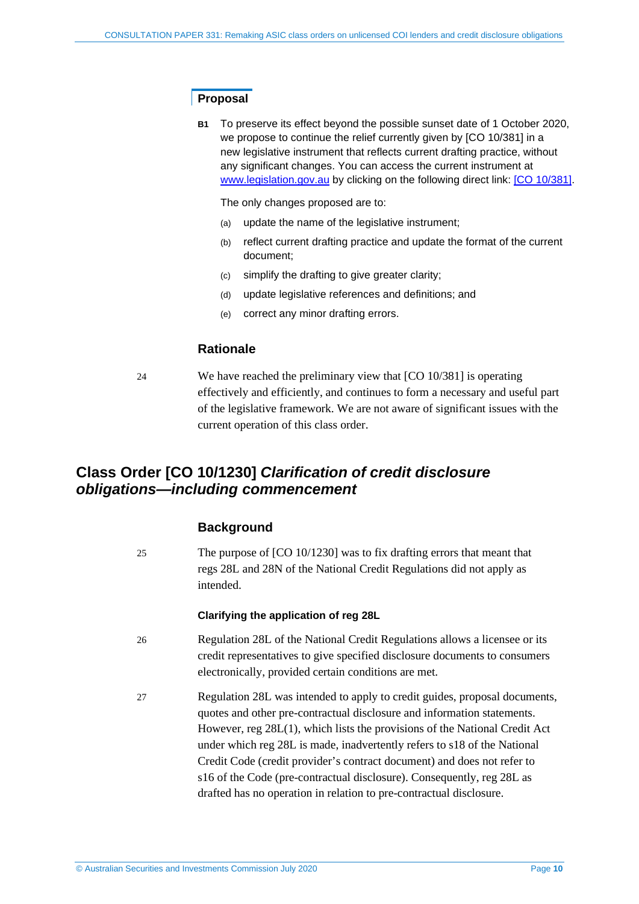## **Proposal**

**B1** To preserve its effect beyond the possible sunset date of 1 October 2020, we propose to continue the relief currently given by [CO 10/381] in a new legislative instrument that reflects current drafting practice, without any significant changes. You can access the current instrument at [www.legislation.gov.au](http://www.legislation.gov.au/) by clicking on the following direct link: [\[CO 10/381\].](https://www.legislation.gov.au/Details/F2019C00078)

The only changes proposed are to:

- (a) update the name of the legislative instrument;
- (b) reflect current drafting practice and update the format of the current document;
- (c) simplify the drafting to give greater clarity;
- (d) update legislative references and definitions; and
- (e) correct any minor drafting errors.

## **Rationale**

24 We have reached the preliminary view that [CO 10/381] is operating effectively and efficiently, and continues to form a necessary and useful part of the legislative framework. We are not aware of significant issues with the current operation of this class order.

## <span id="page-9-0"></span>**Class Order [CO 10/1230]** *Clarification of credit disclosure obligations—including commencement*

## **Background**

25 The purpose of [CO 10/1230] was to fix drafting errors that meant that regs 28L and 28N of the National Credit Regulations did not apply as intended.

#### **Clarifying the application of reg 28L**

- 26 Regulation 28L of the National Credit Regulations allows a licensee or its credit representatives to give specified disclosure documents to consumers electronically, provided certain conditions are met.
- 27 Regulation 28L was intended to apply to credit guides, proposal documents, quotes and other pre-contractual disclosure and information statements. However, reg 28L(1), which lists the provisions of the National Credit Act under which reg 28L is made, inadvertently refers to s18 of the National Credit Code (credit provider's contract document) and does not refer to s16 of the Code (pre-contractual disclosure). Consequently, reg 28L as drafted has no operation in relation to pre-contractual disclosure.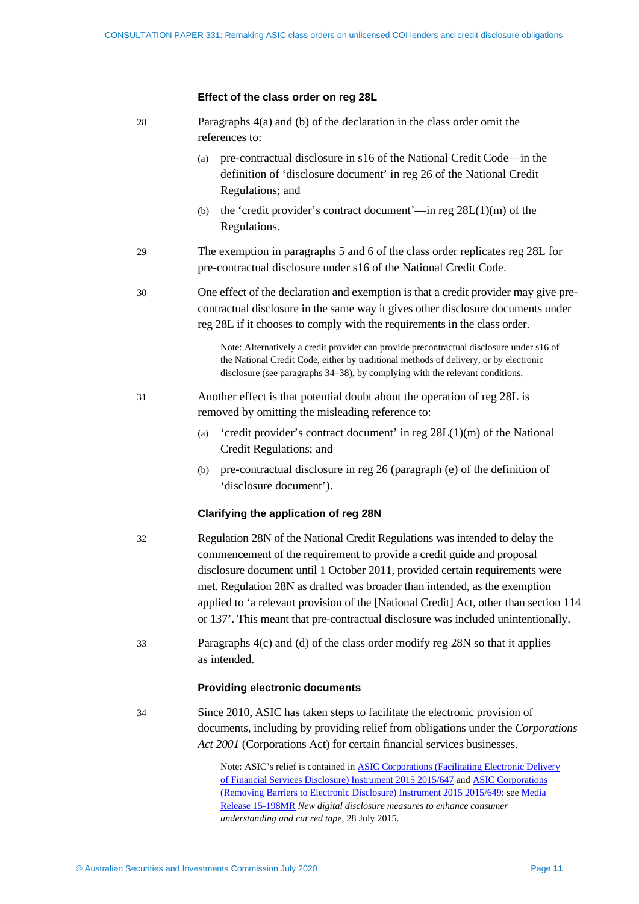#### **Effect of the class order on reg 28L**

| 28 | Paragraphs $4(a)$ and (b) of the declaration in the class order omit the<br>references to:                                                                                                                                                                                                                                                                                                                                                                                                        |  |  |
|----|---------------------------------------------------------------------------------------------------------------------------------------------------------------------------------------------------------------------------------------------------------------------------------------------------------------------------------------------------------------------------------------------------------------------------------------------------------------------------------------------------|--|--|
|    | pre-contractual disclosure in s16 of the National Credit Code-in the<br>(a)<br>definition of 'disclosure document' in reg 26 of the National Credit<br>Regulations; and                                                                                                                                                                                                                                                                                                                           |  |  |
|    | the 'credit provider's contract document'—in reg $28L(1)(m)$ of the<br>(b)<br>Regulations.                                                                                                                                                                                                                                                                                                                                                                                                        |  |  |
| 29 | The exemption in paragraphs 5 and 6 of the class order replicates reg 28L for<br>pre-contractual disclosure under s16 of the National Credit Code.                                                                                                                                                                                                                                                                                                                                                |  |  |
| 30 | One effect of the declaration and exemption is that a credit provider may give pre-<br>contractual disclosure in the same way it gives other disclosure documents under<br>reg 28L if it chooses to comply with the requirements in the class order.                                                                                                                                                                                                                                              |  |  |
|    | Note: Alternatively a credit provider can provide precontractual disclosure under s16 of<br>the National Credit Code, either by traditional methods of delivery, or by electronic<br>disclosure (see paragraphs 34–38), by complying with the relevant conditions.                                                                                                                                                                                                                                |  |  |
| 31 | Another effect is that potential doubt about the operation of reg 28L is<br>removed by omitting the misleading reference to:                                                                                                                                                                                                                                                                                                                                                                      |  |  |
|    | 'credit provider's contract document' in reg 28L(1)(m) of the National<br>(a)<br>Credit Regulations; and                                                                                                                                                                                                                                                                                                                                                                                          |  |  |
|    | pre-contractual disclosure in reg 26 (paragraph (e) of the definition of<br>(b)<br>'disclosure document').                                                                                                                                                                                                                                                                                                                                                                                        |  |  |
|    | <b>Clarifying the application of reg 28N</b>                                                                                                                                                                                                                                                                                                                                                                                                                                                      |  |  |
| 32 | Regulation 28N of the National Credit Regulations was intended to delay the<br>commencement of the requirement to provide a credit guide and proposal<br>disclosure document until 1 October 2011, provided certain requirements were<br>met. Regulation 28N as drafted was broader than intended, as the exemption<br>applied to 'a relevant provision of the [National Credit] Act, other than section 114<br>or 137'. This meant that pre-contractual disclosure was included unintentionally. |  |  |
| 33 | Paragraphs $4(c)$ and (d) of the class order modify reg 28N so that it applies<br>as intended.                                                                                                                                                                                                                                                                                                                                                                                                    |  |  |
|    | <b>Providing electronic documents</b>                                                                                                                                                                                                                                                                                                                                                                                                                                                             |  |  |
| 34 | Since 2010, ASIC has taken steps to facilitate the electronic provision of<br>documents, including by providing relief from obligations under the Corporations<br>Act 2001 (Corporations Act) for certain financial services businesses.                                                                                                                                                                                                                                                          |  |  |
|    |                                                                                                                                                                                                                                                                                                                                                                                                                                                                                                   |  |  |

<span id="page-10-0"></span>Note: ASIC's relief is contained in [ASIC Corporations \(Facilitating Electronic Delivery](https://www.legislation.gov.au/Details/F2016C00298/Controls/)  [of Financial Services Disclosure\) Instrument 2015 2015/647](https://www.legislation.gov.au/Details/F2016C00298/Controls/) an[d ASIC Corporations](https://www.legislation.gov.au/Details/F2015L01187)  [\(Removing Barriers to Electronic Disclosure\) Instrument 2015](https://www.legislation.gov.au/Details/F2015L01187) 2015/649: se[e Media](https://asic.gov.au/about-asic/news-centre/find-a-media-release/2015-releases/15-198mr-new-digital-disclosure-measures-to-enhance-consumer-understanding-and-cut-red-tape/)  [Release 15-198MR](https://asic.gov.au/about-asic/news-centre/find-a-media-release/2015-releases/15-198mr-new-digital-disclosure-measures-to-enhance-consumer-understanding-and-cut-red-tape/) *New digital disclosure measures to enhance consumer understanding and cut red tape*, 28 July 2015.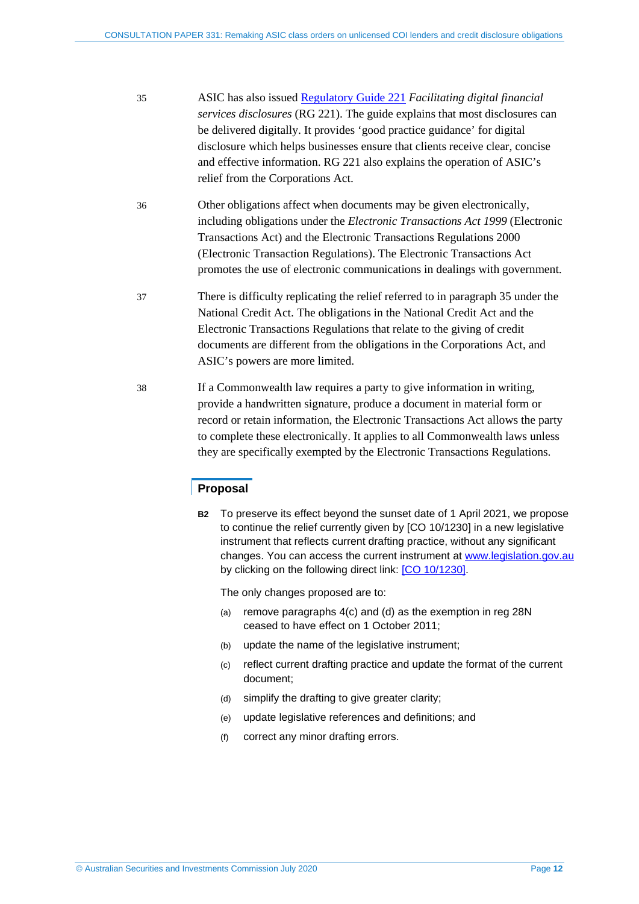- <span id="page-11-1"></span>35 ASIC has also issued [Regulatory Guide 221](https://asic.gov.au/regulatory-resources/find-a-document/regulatory-guides/rg-221-facilitating-digital-financial-services-disclosures/) *Facilitating digital financial services disclosures* (RG 221). The guide explains that most disclosures can be delivered digitally. It provides 'good practice guidance' for digital disclosure which helps businesses ensure that clients receive clear, concise and effective information. RG 221 also explains the operation of ASIC's relief from the Corporations Act.
- 36 Other obligations affect when documents may be given electronically, including obligations under the *Electronic Transactions Act 1999* (Electronic Transactions Act) and the Electronic Transactions Regulations 2000 (Electronic Transaction Regulations). The Electronic Transactions Act promotes the use of electronic communications in dealings with government.
- 37 There is difficulty replicating the relief referred to in paragraph [35](#page-11-1) under the National Credit Act. The obligations in the National Credit Act and the Electronic Transactions Regulations that relate to the giving of credit documents are different from the obligations in the Corporations Act, and ASIC's powers are more limited.
- <span id="page-11-0"></span>38 If a Commonwealth law requires a party to give information in writing, provide a handwritten signature, produce a document in material form or record or retain information, the Electronic Transactions Act allows the party to complete these electronically. It applies to all Commonwealth laws unless they are specifically exempted by the Electronic Transactions Regulations.

## **Proposal**

**B2** To preserve its effect beyond the sunset date of 1 April 2021, we propose to continue the relief currently given by [CO 10/1230] in a new legislative instrument that reflects current drafting practice, without any significant changes. You can access the current instrument at [www.legislation.gov.au](http://www.legislation.gov.au/) by clicking on the following direct link: [\[CO 10/1230\].](https://www.legislation.gov.au/Details/F2011C00309)

The only changes proposed are to:

- (a) remove paragraphs 4(c) and (d) as the exemption in reg 28N ceased to have effect on 1 October 2011;
- (b) update the name of the legislative instrument;
- (c) reflect current drafting practice and update the format of the current document;
- (d) simplify the drafting to give greater clarity;
- (e) update legislative references and definitions; and
- (f) correct any minor drafting errors.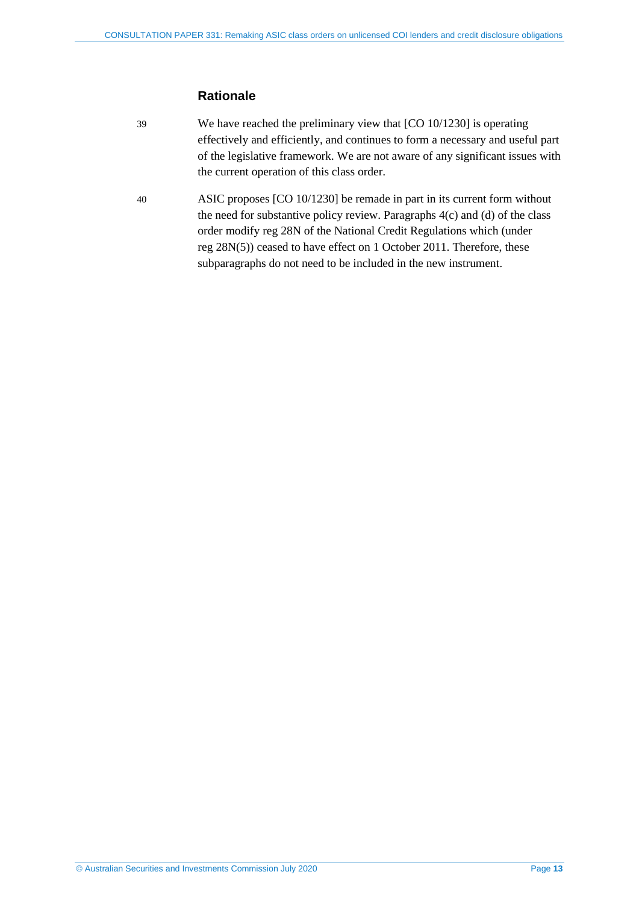## **Rationale**

- 39 We have reached the preliminary view that [CO 10/1230] is operating effectively and efficiently, and continues to form a necessary and useful part of the legislative framework. We are not aware of any significant issues with the current operation of this class order.
- 40 ASIC proposes [CO 10/1230] be remade in part in its current form without the need for substantive policy review. Paragraphs 4(c) and (d) of the class order modify reg 28N of the National Credit Regulations which (under reg 28N(5)) ceased to have effect on 1 October 2011. Therefore, these subparagraphs do not need to be included in the new instrument.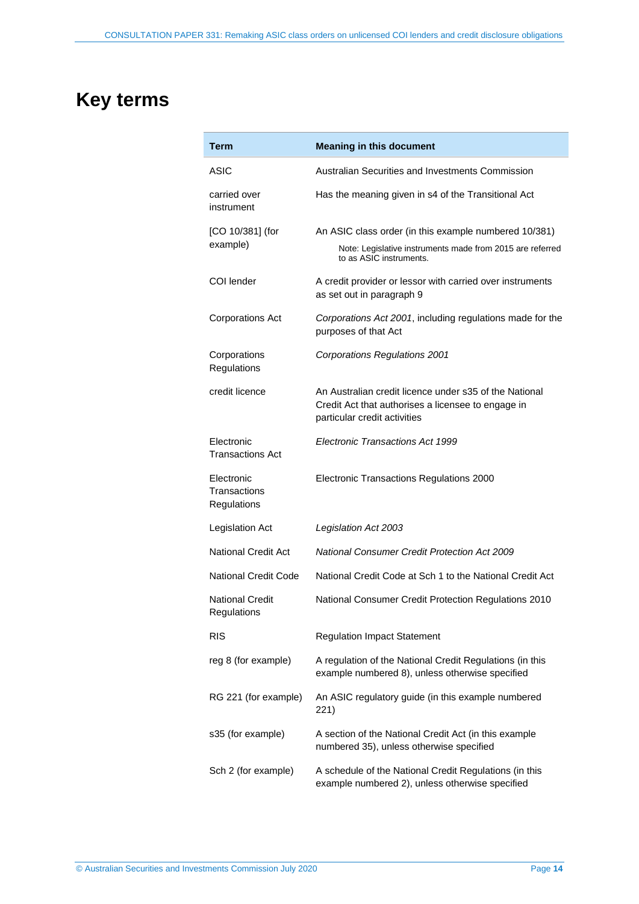## <span id="page-13-0"></span>**Key terms**

| Term                                      | <b>Meaning in this document</b>                                                                                                               |
|-------------------------------------------|-----------------------------------------------------------------------------------------------------------------------------------------------|
| ASIC                                      | Australian Securities and Investments Commission                                                                                              |
| carried over<br>instrument                | Has the meaning given in s4 of the Transitional Act                                                                                           |
| [CO 10/381] (for<br>example)              | An ASIC class order (in this example numbered 10/381)<br>Note: Legislative instruments made from 2015 are referred<br>to as ASIC instruments. |
| COI lender                                | A credit provider or lessor with carried over instruments<br>as set out in paragraph 9                                                        |
| <b>Corporations Act</b>                   | Corporations Act 2001, including regulations made for the<br>purposes of that Act                                                             |
| Corporations<br>Regulations               | <b>Corporations Regulations 2001</b>                                                                                                          |
| credit licence                            | An Australian credit licence under s35 of the National<br>Credit Act that authorises a licensee to engage in<br>particular credit activities  |
| Electronic<br><b>Transactions Act</b>     | Electronic Transactions Act 1999                                                                                                              |
| Electronic<br>Transactions<br>Regulations | Electronic Transactions Regulations 2000                                                                                                      |
| Legislation Act                           | Legislation Act 2003                                                                                                                          |
| <b>National Credit Act</b>                | <b>National Consumer Credit Protection Act 2009</b>                                                                                           |
| <b>National Credit Code</b>               | National Credit Code at Sch 1 to the National Credit Act                                                                                      |
| <b>National Credit</b><br>Regulations     | National Consumer Credit Protection Regulations 2010                                                                                          |
| <b>RIS</b>                                | <b>Regulation Impact Statement</b>                                                                                                            |
| reg 8 (for example)                       | A regulation of the National Credit Regulations (in this<br>example numbered 8), unless otherwise specified                                   |
| RG 221 (for example)                      | An ASIC regulatory guide (in this example numbered<br>221)                                                                                    |
| s35 (for example)                         | A section of the National Credit Act (in this example<br>numbered 35), unless otherwise specified                                             |
| Sch 2 (for example)                       | A schedule of the National Credit Regulations (in this<br>example numbered 2), unless otherwise specified                                     |